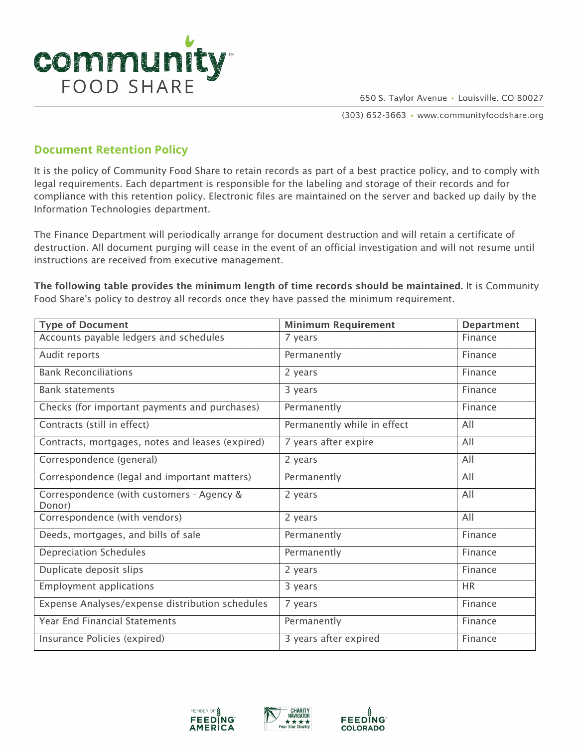

650 S. Taylor Avenue · Louisville, CO 80027

(303) 652-3663 · www.communityfoodshare.org

## **Document Retention Policy**

It is the policy of Community Food Share to retain records as part of a best practice policy, and to comply with legal requirements. Each department is responsible for the labeling and storage of their records and for compliance with this retention policy. Electronic files are maintained on the server and backed up daily by the Information Technologies department.

The Finance Department will periodically arrange for document destruction and will retain a certificate of destruction. All document purging will cease in the event of an official investigation and will not resume until instructions are received from executive management.

The following table provides the minimum length of time records should be maintained. It is Community Food Share's policy to destroy all records once they have passed the minimum requirement.

| <b>Type of Document</b>                             | <b>Minimum Requirement</b>  | <b>Department</b> |
|-----------------------------------------------------|-----------------------------|-------------------|
| Accounts payable ledgers and schedules              | 7 years                     | Finance           |
| Audit reports                                       | Permanently                 | Finance           |
| <b>Bank Reconciliations</b>                         | 2 years                     | Finance           |
| <b>Bank statements</b>                              | 3 years                     | Finance           |
| Checks (for important payments and purchases)       | Permanently                 | Finance           |
| Contracts (still in effect)                         | Permanently while in effect | All               |
| Contracts, mortgages, notes and leases (expired)    | 7 years after expire        | All               |
| Correspondence (general)                            | 2 years                     | All               |
| Correspondence (legal and important matters)        | Permanently                 | All               |
| Correspondence (with customers - Agency &<br>Donor) | 2 years                     | All               |
| Correspondence (with vendors)                       | 2 years                     | All               |
| Deeds, mortgages, and bills of sale                 | Permanently                 | Finance           |
| <b>Depreciation Schedules</b>                       | Permanently                 | Finance           |
| Duplicate deposit slips                             | 2 years                     | Finance           |
| <b>Employment applications</b>                      | 3 years                     | <b>HR</b>         |
| Expense Analyses/expense distribution schedules     | 7 years                     | Finance           |
| Year End Financial Statements                       | Permanently                 | Finance           |
| Insurance Policies (expired)                        | 3 years after expired       | Finance           |